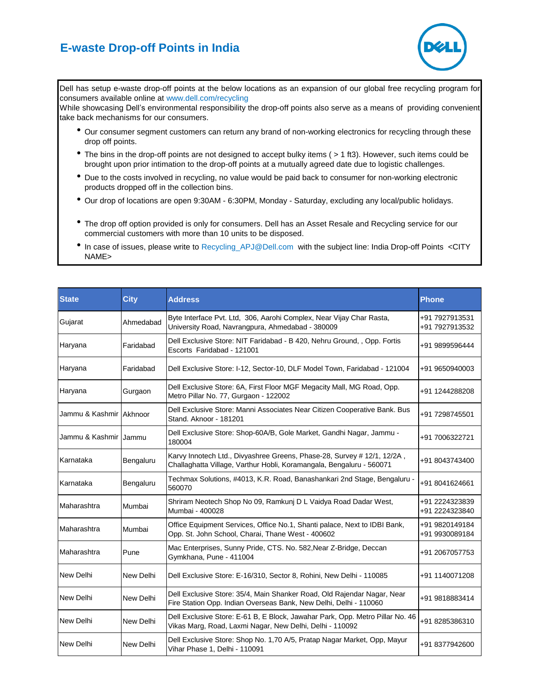## **E-waste Drop-off Points in India**



Dell has setup e-waste drop-off points at the below locations as an expansion of our global free recycling program for consumers available online at www.dell.com/recycling

While showcasing Dell's environmental responsibility the drop-off points also serve as a means of providing convenient take back mechanisms for our consumers.

- Our consumer segment customers can return any brand of non-working electronics for recycling through these drop off points.
- The bins in the drop-off points are not designed to accept bulky items ( > 1 ft3). However, such items could be brought upon prior intimation to the drop-off points at a mutually agreed date due to logistic challenges.
- Due to the costs involved in recycling, no value would be paid back to consumer for non-working electronic products dropped off in the collection bins.
- l Our drop of locations are open 9:30AM 6:30PM, Monday Saturday, excluding any local/public holidays.
- The drop off option provided is only for consumers. Dell has an Asset Resale and Recycling service for our commercial customers with more than 10 units to be disposed.
- In case of issues, please write to Recycling\_APJ@Dell.com with the subject line: India Drop-off Points <CITY NAME>

| <b>State</b>              | <b>City</b> | <b>Address</b>                                                                                                                                  | <b>Phone</b>                     |
|---------------------------|-------------|-------------------------------------------------------------------------------------------------------------------------------------------------|----------------------------------|
| Gujarat                   | Ahmedabad   | Byte Interface Pvt. Ltd, 306, Aarohi Complex, Near Vijay Char Rasta,<br>University Road, Navrangpura, Ahmedabad - 380009                        | +91 7927913531<br>+91 7927913532 |
| Haryana                   | Faridabad   | Dell Exclusive Store: NIT Faridabad - B 420, Nehru Ground, , Opp. Fortis<br>Escorts Faridabad - 121001                                          | +91 9899596444                   |
| Haryana                   | Faridabad   | Dell Exclusive Store: I-12, Sector-10, DLF Model Town, Faridabad - 121004                                                                       | +91 9650940003                   |
| Haryana                   | Gurgaon     | Dell Exclusive Store: 6A, First Floor MGF Megacity Mall, MG Road, Opp.<br>Metro Pillar No. 77, Gurgaon - 122002                                 | +91 1244288208                   |
| Jammu & Kashmir   Akhnoor |             | Dell Exclusive Store: Manni Associates Near Citizen Cooperative Bank. Bus<br>Stand. Aknoor - 181201                                             | +91 7298745501                   |
| Jammu & Kashmir   Jammu   |             | Dell Exclusive Store: Shop-60A/B, Gole Market, Gandhi Nagar, Jammu -<br>180004                                                                  | +91 7006322721                   |
| Karnataka                 | Bengaluru   | Karvy Innotech Ltd., Divyashree Greens, Phase-28, Survey # 12/1, 12/2A,<br>Challaghatta Village, Varthur Hobli, Koramangala, Bengaluru - 560071 | +91 8043743400                   |
| Karnataka                 | Bengaluru   | Techmax Solutions, #4013, K.R. Road, Banashankari 2nd Stage, Bengaluru -<br>560070                                                              | +91 8041624661                   |
| Maharashtra               | Mumbai      | Shriram Neotech Shop No 09, Ramkunj D L Vaidya Road Dadar West,<br>Mumbai - 400028                                                              | +91 2224323839<br>+91 2224323840 |
| Maharashtra               | Mumbai      | Office Equipment Services, Office No.1, Shanti palace, Next to IDBI Bank,<br>Opp. St. John School, Charai, Thane West - 400602                  | +91 9820149184<br>+91 9930089184 |
| Maharashtra               | Pune        | Mac Enterprises, Sunny Pride, CTS. No. 582, Near Z-Bridge, Deccan<br>Gymkhana, Pune - 411004                                                    | +91 2067057753                   |
| New Delhi                 | New Delhi   | Dell Exclusive Store: E-16/310, Sector 8, Rohini, New Delhi - 110085                                                                            | +91 1140071208                   |
| New Delhi                 | New Delhi   | Dell Exclusive Store: 35/4, Main Shanker Road, Old Rajendar Nagar, Near<br>Fire Station Opp. Indian Overseas Bank, New Delhi, Delhi - 110060    | +91 9818883414                   |
| New Delhi                 | New Delhi   | Dell Exclusive Store: E-61 B, E Block, Jawahar Park, Opp. Metro Pillar No. 46<br>Vikas Marg, Road, Laxmi Nagar, New Delhi, Delhi - 110092       | +91 8285386310                   |
| New Delhi                 | New Delhi   | Dell Exclusive Store: Shop No. 1,70 A/5, Pratap Nagar Market, Opp, Mayur<br>Vihar Phase 1, Delhi - 110091                                       | +91 8377942600                   |